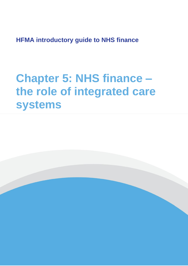**HFMA introductory guide to NHS finance**

# **Chapter 5: NHS finance – the role of integrated care systems**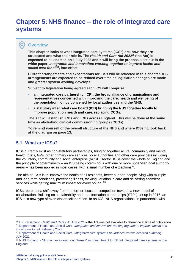# **Chapter 5: NHS finance – the role of integrated care systems**

### **Overview**

 $\bullet$ 

**This chapter looks at what integrated care systems (ICSs) are, how they are structured and what their role is. The** *Health and Care Act 2022<sup>50</sup>* **(the Act) is expected to be enacted on 1 July 2022 and it will bring the proposals set out in the white paper,** *Integration and innovation: working together to improve health and social care for all<sup>51</sup>***, into effect.**

**Current arrangements and expectations for ICSs will be reflected in this chapter. ICS arrangements are expected to be refined over time as legislation changes are made and greater system working develops.**

**Subject to legislation being agreed each ICS will comprise:** 

- **an integrated care partnership (ICP): the broad alliance of organisations and representatives concerned with improving the care, health and wellbeing of the population, jointly convened by local authorities and the NHS.**
- **a statutory integrated care board (ICB) bringing the NHS together locally to improve population health and care, replacing CCGs.**

**The Act will establish ICBs and ICPs across England. This will be done at the same time as abolishing clinical commissioning groups (CCGs).**

**To remind yourself of the overall structure of the NHS and where ICSs fit, look back at the diagram on page 13.**

# **5.1 What are ICSs?**

ICSs currently exist as non-statutory partnerships, bringing together acute, community and mental health trusts, GPs, other primary care services, local authorities and other care providers including the voluntary, community and social enterprise (VCSE) sector. ICSs cover the whole of England and the principle of coterminosity – an ICS being coterminous with one or more upper-tier local authority areas  $-$  has been applied in most cases, with a small number of exceptions<sup>52</sup>.

The aim of ICSs is to 'improve the health of all residents, better support people living with multiple and long-term conditions, preventing illness, tackling variation in care and delivering seamless services while getting maximum impact for every pound'.<sup>53</sup>

ICSs represent a shift away from the former focus on competition towards a new model of collaboration. Building on sustainability and transformation partnerships (STPs) set up in 2016, an ICS is 'a new type of even closer collaboration. In an ICS, NHS organisations, in partnership with

<sup>50</sup> UK Parliament, *[Health and Care Bill](https://bills.parliament.uk/bills/3022)*, July 2021 – the Act was not available to reference at time of publication <sup>51</sup> Department of Health and Social Care, *[Integration and innovation: working together to improve health and](https://www.gov.uk/government/publications/working-together-to-improve-health-and-social-care-for-all/integration-and-innovation-working-together-to-improve-health-and-social-care-for-all-html-version)  [social care for all](https://www.gov.uk/government/publications/working-together-to-improve-health-and-social-care-for-all/integration-and-innovation-working-together-to-improve-health-and-social-care-for-all-html-version)*, February 2021

<sup>52</sup> Department of Health and Social Care, *[Integrated care systems boundaries review: decision summary](https://www.gov.uk/government/publications/integrated-care-systems-boundaries-review-decision-summary/integrated-care-systems-boundaries-review-decision-summary)*, July [2021](https://www.gov.uk/government/publications/integrated-care-systems-boundaries-review-decision-summary/integrated-care-systems-boundaries-review-decision-summary)

<sup>53</sup> [NHS England » NHS achieves key Long Term Plan commitment to roll out integrated](https://www.england.nhs.uk/2021/03/nhs-achieves-key-long-term-plan-commitment-to-roll-out-integrated-care-systems-across-england/) care systems across [England](https://www.england.nhs.uk/2021/03/nhs-achieves-key-long-term-plan-commitment-to-roll-out-integrated-care-systems-across-england/)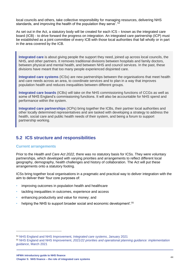local councils and others, take collective responsibility for managing resources, delivering NHS standards, and improving the health of the population they serve'. <sup>54</sup>

As set out in the Act, a statutory body will be created for each ICS – known as the integrated care board (ICB) - to drive forward the progress on integration. An integrated care partnership (ICP) must be established as a joint committee of every ICB with those local authorities that fall wholly or in part in the area covered by the ICB.

**Integrated care** is about giving people the support they need, joined up across local councils, the NHS, and other partners. It removes traditional divisions between hospitals and family doctors, between physical and mental health, and between NHS and council services. In the past, these divisions have meant that too many people experienced disjointed care.

**Integrated care systems** (ICSs) are new partnerships between the organisations that meet health and care needs across an area, to coordinate services and to plan in a way that improves population health and reduces inequalities between different groups.

**Integrated care boards** (ICBs) will take on the NHS commissioning functions of CCGs as well as some of NHS England's commissioning functions. It will also be accountable for NHS spend and performance within the system.

**Integrated care partnerships** (ICPs) bring together the ICBs, their partner local authorities and other locally determined representatives and are tasked with developing a strategy to address the health, social care and public health needs of their system, and being a forum to support partnership working.

# **5.2 ICS structure and responsibilities**

#### **Current arrangements**

Prior to the *Health and Care Act 2022,* there was no statutory basis for ICSs. They were voluntary partnerships, which developed with varying priorities and arrangements to reflect different local geography, demography, health challenges and history of collaboration. The Act will put these arrangements onto a statutory footing.

ICSs bring together local organisations in a pragmatic and practical way to deliver integration with the aim to deliver their 'four core purposes of:

- improving outcomes in population health and healthcare
- tackling inequalities in outcomes, experience and access
- enhancing productivity and value for money; and
- helping the NHS to support broader social and economic development'.<sup>55</sup>

<sup>54</sup> [NHS England and NHS Improvement](https://www.england.nhs.uk/integratedcare/integrated-care-systems/)*, Integrated care systems*, January 2021

<sup>55</sup> NHS England and NHS Improvement, *2021/22 priorities [and operational planning guidance: implementation](https://www.england.nhs.uk/wp-content/uploads/2021/03/B0468-implementation-guidance-21-22-priorities-and-operational-planning-guidance.pdf)  guidance*[, March 2021](https://www.england.nhs.uk/wp-content/uploads/2021/03/B0468-implementation-guidance-21-22-priorities-and-operational-planning-guidance.pdf)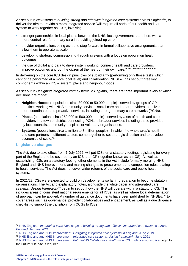As set out in *Next steps to building strong and effective integrated care systems across England<sup>56</sup>*, to deliver the aim to provide a more integrated service 'will require all parts of our health and care system to work together as ICSs, involving:

- stronger partnerships in local places between the NHS, local government and others with a more central role for primary care in providing joined-up care
- provider organisations being asked to step forward in formal collaborative arrangements that allow them to operate at scale
- developing strategic commissioning through systems with a focus on population health outcomes
- the use of digital and data to drive system working, connect health and care providers, improve outcomes and put the citizen at the heart of their own care.'**Error! Bookmark not defined.**

In delivering on the core ICS design principles of subsidiarity (performing only those tasks which cannot be performed at a more local level) and collaboration, NHSE&I has set out three key components within an ICS – system, place and neighbourhoods.

As set out in *Designing integrated care systems in England*, 'there are three important levels at which decisions are made:

- **Neighbourhoods** (populations circa 30,000 to 50,000 people) served by groups of GP practices working with NHS community services, social care and other providers to deliver more coordinated and proactive services, including through primary care networks (PCNs).
- **Places** (populations circa 250,000 to 500,000 people) served by a set of health and care providers in a town or district, connecting PCNs to broader services including those provided by local councils, community hospitals or voluntary organisations.
- **Systems** (populations circa 1 million to 3 million people) in which the whole area's health and care partners in different sectors come together to set strategic direction and to develop economies of scale.'<sup>57</sup>

#### **Legislative changes**

The Act, due to take effect from 1 July 2022, will put ICSs on a statutory footing, legislating for every part of the England to be covered by an ICB and ICP (together known as an ICS). As well as establishing ICSs on a statutory footing, other elements in the Act include formally merging NHS England and NHS Improvement; and making changes to procurement and competition rules relating to health services. The Act does not cover wider reforms of the social care and public health systems.

In 2021/22 ICSs were expected to build on developments so far in preparation to become statutory organisations. The Act and explanatory notes, alongside the white paper and *Integrated care systems: design framework<sup>58</sup>* begin to set out how the NHS will operate within a statutory ICS. This includes areas of consistent national requirements for all ICSs, as well as where local determination of approach can be applied. A number of quidance documents have been published by NHSE&I<sup>59</sup> to cover areas such as governance, provider collaboratives and engagement, as well as a due diligence checklist to support the transition from CCGs to ICBs.

<sup>56</sup> NHS England, *[Integrating care: Next steps to building strong and effective integrated care systems across](https://www.england.nhs.uk/publication/integrating-care-next-steps-to-building-strong-and-effective-integrated-care-systems-across-england/)  England*[, January 2021](https://www.england.nhs.uk/publication/integrating-care-next-steps-to-building-strong-and-effective-integrated-care-systems-across-england/)

<sup>57</sup> NHS England and NHS Improvement, *[Designing integrated care systems in England](file:///C:/Users/lisa.robertson/AppData/Local/Microsoft/Windows/INetCache/Content.Outlook/48RW6J8R/designing-integrated-care-systems-in-england.pdf)*, June 2019

<sup>58</sup> NHS England and NHS Improvement, *[Integrated care systems: design framework](https://www.england.nhs.uk/wp-content/uploads/2021/06/B0642-ics-design-framework-june-2021.pdf)*, June 2021

<sup>59</sup> [NHS England and NHS Improvement,](https://future.nhs.uk/ICSGuidance/view?objectID=710820) *FutureNHS Collaboration Platform – ICS guidance workspace* (login to the FutureNHS site is required)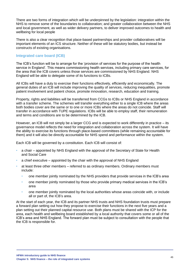There are two forms of integration which will be underpinned by the legislation: integration within the NHS to remove some of the boundaries to collaboration; and greater collaboration between the NHS and local government, as well as wider delivery partners, to deliver improved outcomes to health and wellbeing for local people

There is also a clear recognition that place-based partnerships and provider collaboratives will be important elements of an ICS structure. Neither of these will be statutory bodies, but instead be constructs of existing organisations.

#### **Integrated care board (ICB)**

The ICB's function will be to arrange for the 'provision of services for the purpose of the health service in England'. This means commissioning health services, including primary care services, for the area that the ICB covers unless those services are commissioned by NHS England. NHS England will be able to delegate some of its functions to ICBs.

All ICBs will have a duty to exercise their functions effectively, efficiently and economically. The general duties of an ICB will include improving the quality of services, reducing inequalities, promote patient involvement and patient choice, promote innovation, research, education and training.

Property, rights and liabilities will be transferred from CCGs to ICBs or NHS England in accordance with a transfer scheme. The schemes will transfer everything either to a single ICB where the areas both bodies cover are the same or to one or more ICBs where the areas do not coincide. Staff will transfer in accordance with TUPE regulations. ICBs will be able to employ staff, their remuneration and terms and conditions are to be determined by the ICB.

However, an ICB will not simply be a larger CCG and is expected to work differently in practice – its governance model reflects the need for integration and collaboration across the system. It will have the ability to exercise its functions through place-based committees (while remaining accountable for them) and it will also be directly accountable for NHS spend and performance within the system.

Each ICB will be governed by a constitution. Each ICB will consist of:

- a chair appointed by NHS England with the approval of the Secretary of State for Health and Social Care
- a chief executive appointed by the chair with the approval of NHS England
- at least three other members referred to as ordinary members. Ordinary members must include:
	- one member jointly nominated by the NHS providers that provide services in the ICB's area
	- one member jointly nominated by those who provide primary medical services in the ICB's area
	- one member jointly nominated by the local authorities whose areas coincide with, or include all or part of, the ICB's area.

At the start of each year, the ICB and its partner NHS trusts and NHS foundation trusts must prepare a forward plan setting out how they propose to exercise their functions in the next five years and a plan setting out their planned capital resource use. Both plans must be shared with the ICP for the area, each health and wellbeing board established by a local authority that covers some or all of the ICB's area and NHS England. The forward plan must be subject to consultation with the people that the ICB is responsible for.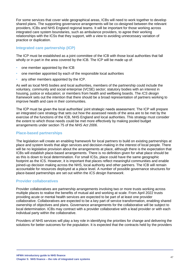For some services that cover wide geographical areas, ICBs will need to work together to develop shared plans. The supporting governance arrangements will be co-designed between the relevant providers, ICBs and NHS England regional teams. It will be important for those working across integrated care system boundaries, such as ambulance providers, to agree their working relationships with the ICSs that they support, with a view to avoiding unnecessary variation of practice or duplication.

## **Integrated care partnership (ICP)**

The ICP must be established as a joint committee of the ICB with those local authorities that fall wholly or in part in the area covered by the ICB. The ICP will be made up of:

- one member appointed by the ICB
- one member appointed by each of the responsible local authorities
- any other members appointed by the ICP.

As well as local NHS bodies and local authorities, members of the partnership could include the voluntary, community and social enterprise (VCSE) sector; statutory bodies with an interest in housing, justice or education; or members from health and wellbeing boards. The *ICS design framework* sets out the intention that there should be a broad representation of partners working to improve health and care in their communities.

The ICP must be given the local authorities' joint strategic needs assessment. The ICP will prepare an integrated care strategy that sets out how the assessed needs of the area are to be met by the exercise of the functions of the ICB, NHS England and local authorities. This strategy must consider the extent to which those needs could be met more effectively by making pooled budget arrangements under section 75 of the *NHS Act 2006*.

#### **Place-based partnerships**

The legislation will create an enabling framework for local partners to build on existing partnerships at place and system levels that align services and decision-making in the interest of local people. There will be no legislative provision about the arrangements at place, although there is the expectation that ICBs will establish place-based arrangements. There is no definition given for what place should be as this is down to local determination. For small ICSs, place could have the same geographic footprint as the ICS. However, it is important that places reflect meaningful communities and enable joined-up decision making across the NHS, local authority and other partners. The ICB will remain accountable for resources deployed at a place level. A number of possible governance structures for place-based partnerships are set out within the *ICS design framework*.

#### **Provider collaboratives**

Provider collaboratives are partnership arrangements involving two or more trusts working across multiple places to realise the benefits of mutual aid and working at scale. From April 2022 trusts providing acute or mental health services are expected to be part of at least one provider collaborative. Collaboratives are expected to be a key part of service transformation, enabling shared ownership of objectives and plans. Governance arrangements for the collaborative will be subject to local determination. ICBs may contract with a provider collaborative with a lead provider or with each individual party within the collaborative.

Providers of NHS services will play a key role in identifying the priorities for change and delivering the solutions for better outcomes for the population. It is expected that the contracts held by the providers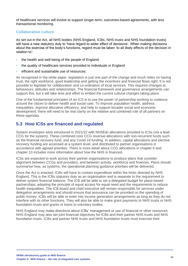of healthcare services will evolve to support longer-term, outcomes-based agreements, with less transactional monitoring.

#### **Collaborative culture**

As set out in the Act, all NHS bodies (NHS England, ICBs, NHS trusts and NHS foundation trusts) will have a new statutory duty to 'have regard to wider effect of decisions'. When making decisions about the exercise of the body's functions, regard must be taken 'to all likely effects of the decision in relation to':

- the health and well-being of the people of England
- the quality of healthcare services provided to individuals in England
- efficient and sustainable use of resources.

As recognised in the white paper, legislation is just one part of the change and much relies on having trust, the right workforce, good leadership and getting the incentives and financial flows right. It is not possible to legislate for collaboration and co-ordination of local services. This requires changes to behaviours, attitudes and relationships. The financial framework and governance arrangements can support this, but it will take time and effort to embed the current cultural changes taking place.

One of the fundamental principles of an ICS is to use the power of partnership working to coalesce around the citizen to deliver health and social care. To improve population health, address inequalities, improve allocative efficiency, and help to support broader social and economic development, there will need to be real clarity on the relative and combined role of all partners on these agendas.

# **5.3 How ICSs are financed and regulated**

System envelopes were introduced in 2021/22 with NHSE&I allocations provided to ICSs (via a lead CCG for the system). These combined core CCG revenue allocations with non-recurrent funds such as the financial recovery fund, and any Covid-19 funding. In addition, capital allocations and elective recovery funding are accessed at a system level, and distributed to partner organisations in accordance with agreed priorities. There is more detail about CCG allocations in chapter 6 and chapter 10 includes more information about how the NHS is financed.

ICSs are expected to work across their partner organisations to produce plans that consider alignment between CCGs and providers, and between activity, workforce and finances. Plans should summarise how, as systems, the operational planning guidance priorities will be delivered.

Once the Act is enacted, ICBs will have to contain expenditure within the limits directed by NHS England. This is the ICBs statutory duty as an organisation and is separate to the requirement to deliver system financial balance. The ICB will be able to set a delegated budget for place-based partnerships, adopting the principle of equal access for equal need and the requirements to reduce health inequalities. The ICB board and chief executive will remain responsible for services under delegation arrangements and should ensure that assurance can be provided on the spending of public money. ICBs will be able to enter into income generation arrangements as long as they do not interfere with its other functions. They will also be able to make grant payments to NHS trusts or NHS foundation trusts and grants or loans to voluntary bodies.

NHS England may make directions about ICBs' management or use of financial or other resources. NHS England may also set joint financial objectives for ICBs and their partner NHS trusts and NHS foundation trusts. ICBs and partner NHS trusts and NHS foundation trusts must exercise their